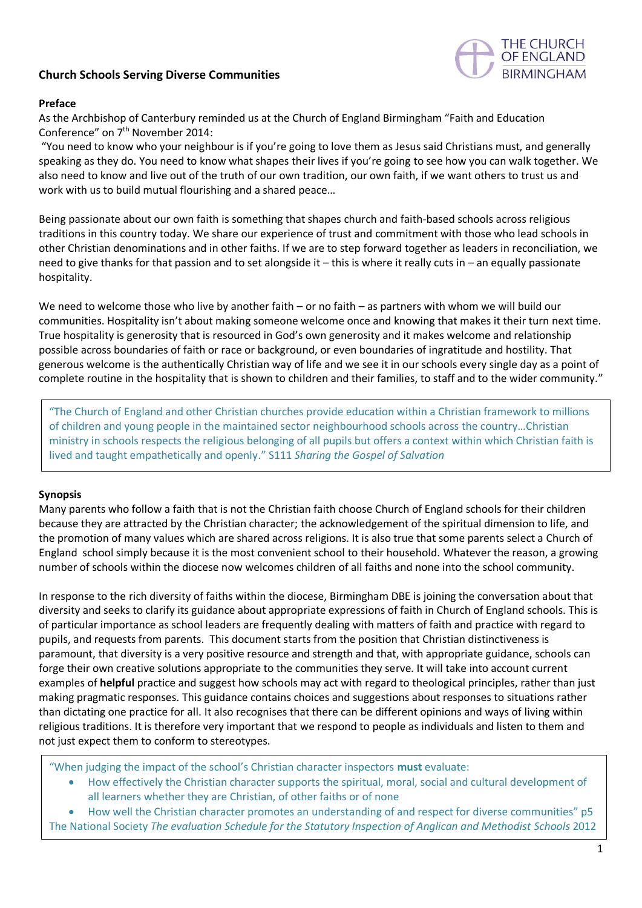## **Church Schools Serving Diverse Communities**



#### **Preface**

As the Archbishop of Canterbury reminded us at the Church of England Birmingham "Faith and Education Conference" on 7th November 2014:

"You need to know who your neighbour is if you're going to love them as Jesus said Christians must, and generally speaking as they do. You need to know what shapes their lives if you're going to see how you can walk together. We also need to know and live out of the truth of our own tradition, our own faith, if we want others to trust us and work with us to build mutual flourishing and a shared peace…

Being passionate about our own faith is something that shapes church and faith-based schools across religious traditions in this country today. We share our experience of trust and commitment with those who lead schools in other Christian denominations and in other faiths. If we are to step forward together as leaders in reconciliation, we need to give thanks for that passion and to set alongside it – this is where it really cuts in – an equally passionate hospitality.

We need to welcome those who live by another faith – or no faith – as partners with whom we will build our communities. Hospitality isn't about making someone welcome once and knowing that makes it their turn next time. True hospitality is generosity that is resourced in God's own generosity and it makes welcome and relationship possible across boundaries of faith or race or background, or even boundaries of ingratitude and hostility. That generous welcome is the authentically Christian way of life and we see it in our schools every single day as a point of complete routine in the hospitality that is shown to children and their families, to staff and to the wider community."

"The Church of England and other Christian churches provide education within a Christian framework to millions of children and young people in the maintained sector neighbourhood schools across the country…Christian ministry in schools respects the religious belonging of all pupils but offers a context within which Christian faith is lived and taught empathetically and openly." S111 *Sharing the Gospel of Salvation*

#### **Synopsis**

Many parents who follow a faith that is not the Christian faith choose Church of England schools for their children because they are attracted by the Christian character; the acknowledgement of the spiritual dimension to life, and the promotion of many values which are shared across religions. It is also true that some parents select a Church of England school simply because it is the most convenient school to their household. Whatever the reason, a growing number of schools within the diocese now welcomes children of all faiths and none into the school community.

In response to the rich diversity of faiths within the diocese, Birmingham DBE is joining the conversation about that diversity and seeks to clarify its guidance about appropriate expressions of faith in Church of England schools. This is of particular importance as school leaders are frequently dealing with matters of faith and practice with regard to pupils, and requests from parents. This document starts from the position that Christian distinctiveness is paramount, that diversity is a very positive resource and strength and that, with appropriate guidance, schools can forge their own creative solutions appropriate to the communities they serve. It will take into account current examples of **helpful** practice and suggest how schools may act with regard to theological principles, rather than just making pragmatic responses. This guidance contains choices and suggestions about responses to situations rather than dictating one practice for all. It also recognises that there can be different opinions and ways of living within religious traditions. It is therefore very important that we respond to people as individuals and listen to them and not just expect them to conform to stereotypes.

"When judging the impact of the school's Christian character inspectors **must** evaluate:

• How effectively the Christian character supports the spiritual, moral, social and cultural development of all learners whether they are Christian, of other faiths or of none

• How well the Christian character promotes an understanding of and respect for diverse communities" p5 The National Society *The evaluation Schedule for the Statutory Inspection of Anglican and Methodist Schools* 2012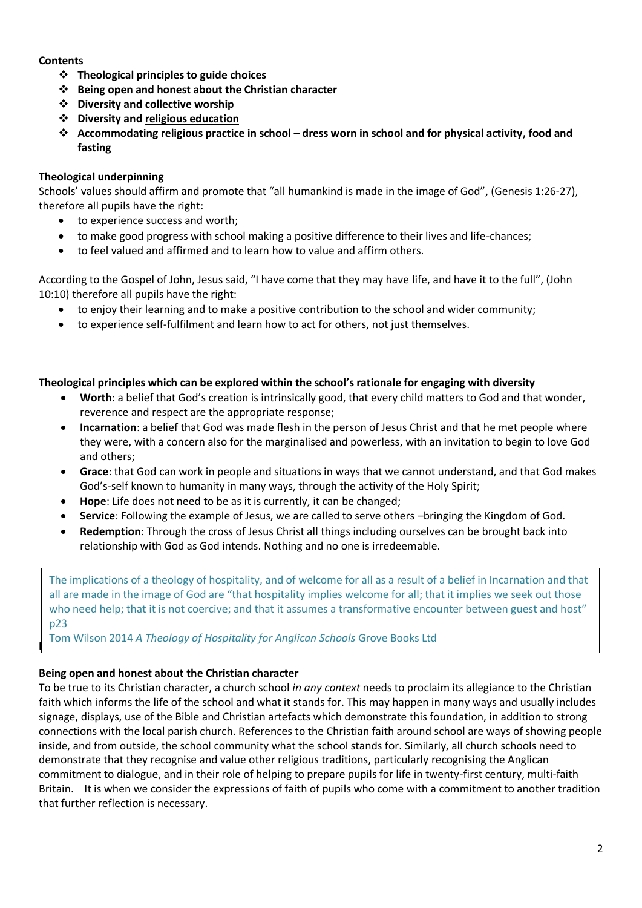## **Contents**

- ❖ **Theological principles to guide choices**
- ❖ **Being open and honest about the Christian character**
- ❖ **Diversity and collective worship**
- ❖ **Diversity and religious education**
- ❖ **Accommodating religious practice in school – dress worn in school and for physical activity, food and fasting**

## **Theological underpinning**

Schools' values should affirm and promote that "all humankind is made in the image of God", (Genesis 1:26-27), therefore all pupils have the right:

- to experience success and worth;
- to make good progress with school making a positive difference to their lives and life-chances;
- to feel valued and affirmed and to learn how to value and affirm others.

According to the Gospel of John, Jesus said, "I have come that they may have life, and have it to the full", (John 10:10) therefore all pupils have the right:

- to enjoy their learning and to make a positive contribution to the school and wider community;
- to experience self-fulfilment and learn how to act for others, not just themselves.

## **Theological principles which can be explored within the school's rationale for engaging with diversity**

- **Worth**: a belief that God's creation is intrinsically good, that every child matters to God and that wonder, reverence and respect are the appropriate response;
- **Incarnation**: a belief that God was made flesh in the person of Jesus Christ and that he met people where they were, with a concern also for the marginalised and powerless, with an invitation to begin to love God and others;
- **Grace**: that God can work in people and situations in ways that we cannot understand, and that God makes God's-self known to humanity in many ways, through the activity of the Holy Spirit;
- **Hope**: Life does not need to be as it is currently, it can be changed;
- **Service**: Following the example of Jesus, we are called to serve others –bringing the Kingdom of God.
- **Redemption**: Through the cross of Jesus Christ all things including ourselves can be brought back into relationship with God as God intends. Nothing and no one is irredeemable.

The implications of a theology of hospitality, and of welcome for all as a result of a belief in Incarnation and that all are made in the image of God are "that hospitality implies welcome for all; that it implies we seek out those who need help; that it is not coercive; and that it assumes a transformative encounter between guest and host" p23

**Tom Wilson 2014** *A Theology of Hospitality for Anglican Schools* **Grove Books Ltd** 

## **Being open and honest about the Christian character**

To be true to its Christian character, a church school *in any context* needs to proclaim its allegiance to the Christian faith which informs the life of the school and what it stands for. This may happen in many ways and usually includes signage, displays, use of the Bible and Christian artefacts which demonstrate this foundation, in addition to strong connections with the local parish church. References to the Christian faith around school are ways of showing people inside, and from outside, the school community what the school stands for. Similarly, all church schools need to demonstrate that they recognise and value other religious traditions, particularly recognising the Anglican commitment to dialogue, and in their role of helping to prepare pupils for life in twenty-first century, multi-faith Britain. It is when we consider the expressions of faith of pupils who come with a commitment to another tradition that further reflection is necessary.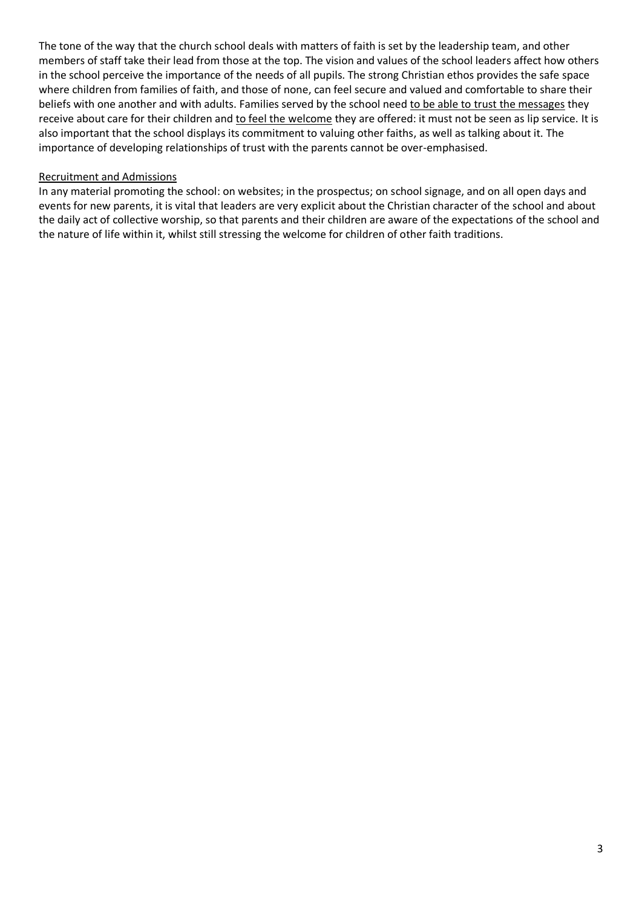The tone of the way that the church school deals with matters of faith is set by the leadership team, and other members of staff take their lead from those at the top. The vision and values of the school leaders affect how others in the school perceive the importance of the needs of all pupils. The strong Christian ethos provides the safe space where children from families of faith, and those of none, can feel secure and valued and comfortable to share their beliefs with one another and with adults. Families served by the school need to be able to trust the messages they receive about care for their children and to feel the welcome they are offered: it must not be seen as lip service. It is also important that the school displays its commitment to valuing other faiths, as well as talking about it. The importance of developing relationships of trust with the parents cannot be over-emphasised.

#### Recruitment and Admissions

In any material promoting the school: on websites; in the prospectus; on school signage, and on all open days and events for new parents, it is vital that leaders are very explicit about the Christian character of the school and about the daily act of collective worship, so that parents and their children are aware of the expectations of the school and the nature of life within it, whilst still stressing the welcome for children of other faith traditions.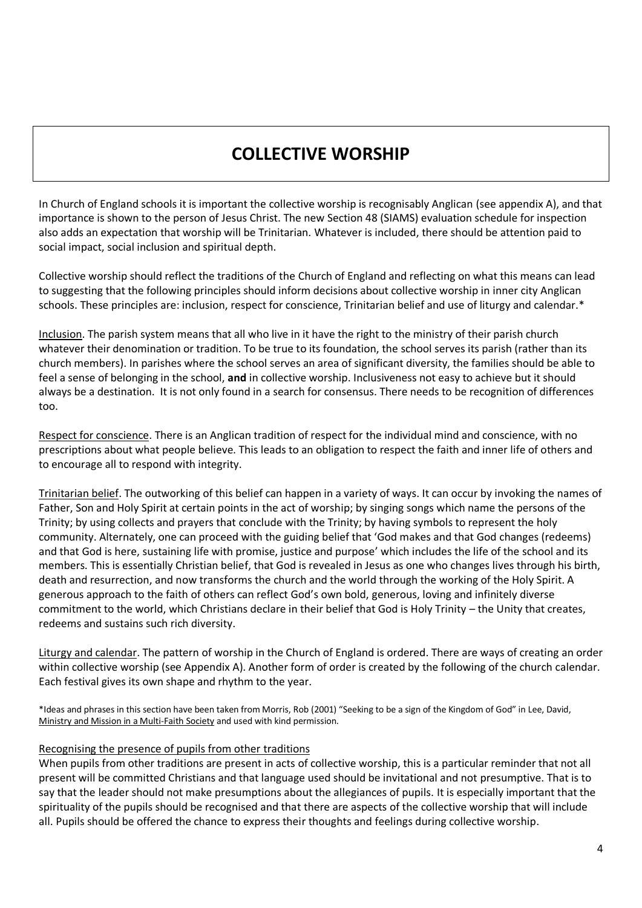# **COLLECTIVE WORSHIP**

In Church of England schools it is important the collective worship is recognisably Anglican (see appendix A), and that importance is shown to the person of Jesus Christ. The new Section 48 (SIAMS) evaluation schedule for inspection also adds an expectation that worship will be Trinitarian. Whatever is included, there should be attention paid to social impact, social inclusion and spiritual depth.

Collective worship should reflect the traditions of the Church of England and reflecting on what this means can lead to suggesting that the following principles should inform decisions about collective worship in inner city Anglican schools. These principles are: inclusion, respect for conscience, Trinitarian belief and use of liturgy and calendar.\*

Inclusion. The parish system means that all who live in it have the right to the ministry of their parish church whatever their denomination or tradition. To be true to its foundation, the school serves its parish (rather than its church members). In parishes where the school serves an area of significant diversity, the families should be able to feel a sense of belonging in the school, **and** in collective worship. Inclusiveness not easy to achieve but it should always be a destination. It is not only found in a search for consensus. There needs to be recognition of differences too.

Respect for conscience. There is an Anglican tradition of respect for the individual mind and conscience, with no prescriptions about what people believe. This leads to an obligation to respect the faith and inner life of others and to encourage all to respond with integrity.

Trinitarian belief. The outworking of this belief can happen in a variety of ways. It can occur by invoking the names of Father, Son and Holy Spirit at certain points in the act of worship; by singing songs which name the persons of the Trinity; by using collects and prayers that conclude with the Trinity; by having symbols to represent the holy community. Alternately, one can proceed with the guiding belief that 'God makes and that God changes (redeems) and that God is here, sustaining life with promise, justice and purpose' which includes the life of the school and its members. This is essentially Christian belief, that God is revealed in Jesus as one who changes lives through his birth, death and resurrection, and now transforms the church and the world through the working of the Holy Spirit. A generous approach to the faith of others can reflect God's own bold, generous, loving and infinitely diverse commitment to the world, which Christians declare in their belief that God is Holy Trinity – the Unity that creates, redeems and sustains such rich diversity.

Liturgy and calendar. The pattern of worship in the Church of England is ordered. There are ways of creating an order within collective worship (see Appendix A). Another form of order is created by the following of the church calendar. Each festival gives its own shape and rhythm to the year.

\*Ideas and phrases in this section have been taken from Morris, Rob (2001) "Seeking to be a sign of the Kingdom of God" in Lee, David, Ministry and Mission in a Multi-Faith Society and used with kind permission.

#### Recognising the presence of pupils from other traditions

When pupils from other traditions are present in acts of collective worship, this is a particular reminder that not all present will be committed Christians and that language used should be invitational and not presumptive. That is to say that the leader should not make presumptions about the allegiances of pupils. It is especially important that the spirituality of the pupils should be recognised and that there are aspects of the collective worship that will include all. Pupils should be offered the chance to express their thoughts and feelings during collective worship.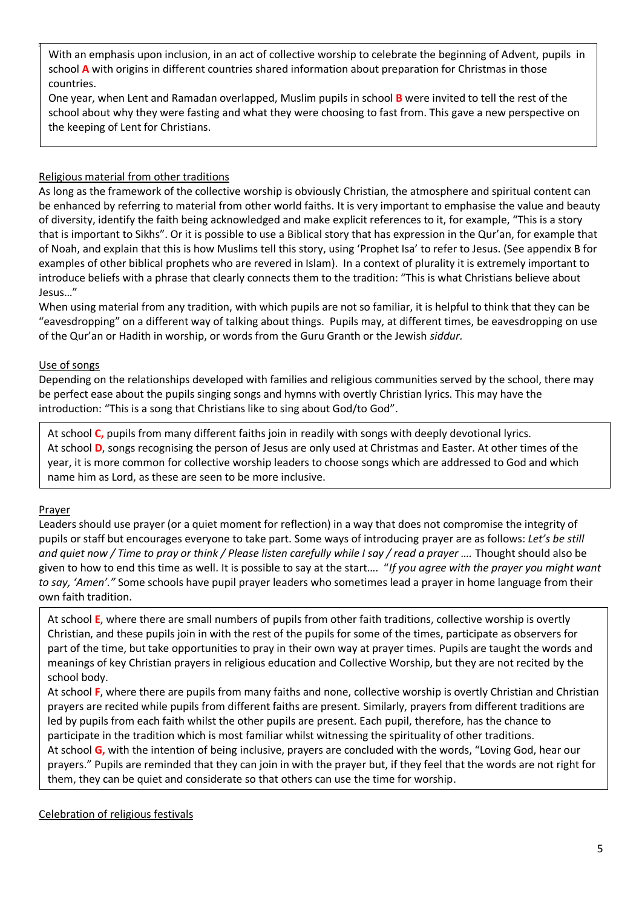With an emphasis upon inclusion, in an act of collective worship to celebrate the beginning of Advent, pupils in school **A** with origins in different countries shared information about preparation for Christmas in those countries.

One year, when Lent and Ramadan overlapped, Muslim pupils in school **B** were invited to tell the rest of the school about why they were fasting and what they were choosing to fast from. This gave a new perspective on the keeping of Lent for Christians.

## Religious material from other traditions

As long as the framework of the collective worship is obviously Christian, the atmosphere and spiritual content can be enhanced by referring to material from other world faiths. It is very important to emphasise the value and beauty of diversity, identify the faith being acknowledged and make explicit references to it, for example, "This is a story that is important to Sikhs". Or it is possible to use a Biblical story that has expression in the Qur'an, for example that of Noah, and explain that this is how Muslims tell this story, using 'Prophet Isa' to refer to Jesus. (See appendix B for examples of other biblical prophets who are revered in Islam). In a context of plurality it is extremely important to introduce beliefs with a phrase that clearly connects them to the tradition: "This is what Christians believe about Jesus…"

When using material from any tradition, with which pupils are not so familiar, it is helpful to think that they can be "eavesdropping" on a different way of talking about things. Pupils may, at different times, be eavesdropping on use of the Qur'an or Hadith in worship, or words from the Guru Granth or the Jewish *siddur.*

## Use of songs

Depending on the relationships developed with families and religious communities served by the school, there may be perfect ease about the pupils singing songs and hymns with overtly Christian lyrics. This may have the introduction: "This is a song that Christians like to sing about God/to God".

At school **C,** pupils from many different faiths join in readily with songs with deeply devotional lyrics. At school **D**, songs recognising the person of Jesus are only used at Christmas and Easter. At other times of the year, it is more common for collective worship leaders to choose songs which are addressed to God and which name him as Lord, as these are seen to be more inclusive.

## Prayer

Leaders should use prayer (or a quiet moment for reflection) in a way that does not compromise the integrity of pupils or staff but encourages everyone to take part. Some ways of introducing prayer are as follows: *Let's be still and quiet now / Time to pray or think / Please listen carefully while I say / read a prayer ….* Thought should also be given to how to end this time as well. It is possible to say at the start…. "*If you agree with the prayer you might want to say, 'Amen'."* Some schools have pupil prayer leaders who sometimes lead a prayer in home language from their own faith tradition.

At school **E**, where there are small numbers of pupils from other faith traditions, collective worship is overtly Christian, and these pupils join in with the rest of the pupils for some of the times, participate as observers for part of the time, but take opportunities to pray in their own way at prayer times. Pupils are taught the words and meanings of key Christian prayers in religious education and Collective Worship, but they are not recited by the school body.

At school **F**, where there are pupils from many faiths and none, collective worship is overtly Christian and Christian prayers are recited while pupils from different faiths are present. Similarly, prayers from different traditions are led by pupils from each faith whilst the other pupils are present. Each pupil, therefore, has the chance to participate in the tradition which is most familiar whilst witnessing the spirituality of other traditions. At school **G,** with the intention of being inclusive, prayers are concluded with the words, "Loving God, hear our prayers." Pupils are reminded that they can join in with the prayer but, if they feel that the words are not right for them, they can be quiet and considerate so that others can use the time for worship.

Celebration of religious festivals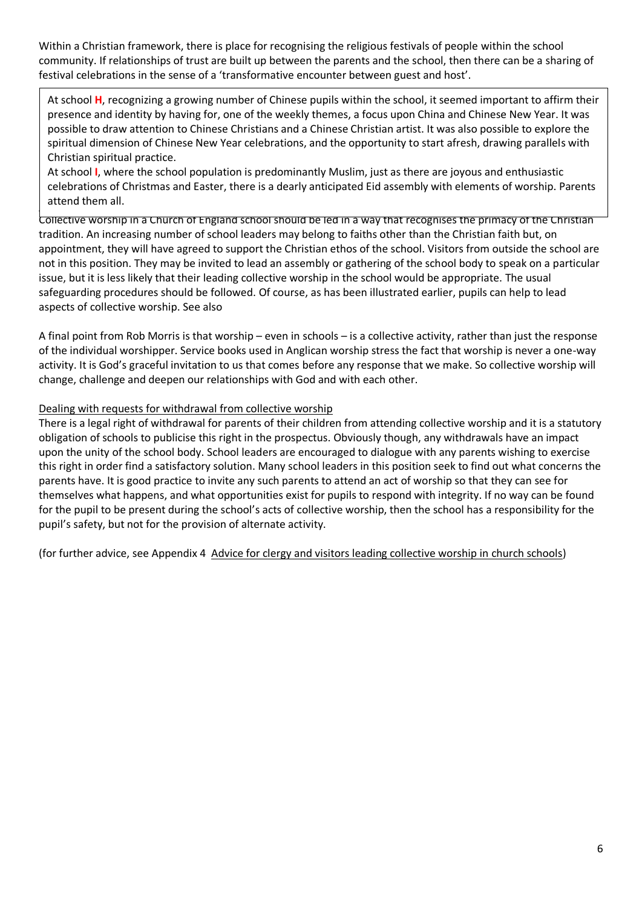Within a Christian framework, there is place for recognising the religious festivals of people within the school community. If relationships of trust are built up between the parents and the school, then there can be a sharing of festival celebrations in the sense of a 'transformative encounter between guest and host'.

At school **H**, recognizing a growing number of Chinese pupils within the school, it seemed important to affirm their presence and identity by having for, one of the weekly themes, a focus upon China and Chinese New Year. It was possible to draw attention to Chinese Christians and a Chinese Christian artist. It was also possible to explore the spiritual dimension of Chinese New Year celebrations, and the opportunity to start afresh, drawing parallels with Christian spiritual practice.

 $\vert$  attend them all. At school **I**, where the school population is predominantly Muslim, just as there are joyous and enthusiastic celebrations of Christmas and Easter, there is a dearly anticipated Eid assembly with elements of worship. Parents

Collective worship in a Church of England school should be led in a way that recognises the primacy of the Christian tradition. An increasing number of school leaders may belong to faiths other than the Christian faith but, on appointment, they will have agreed to support the Christian ethos of the school. Visitors from outside the school are not in this position. They may be invited to lead an assembly or gathering of the school body to speak on a particular issue, but it is less likely that their leading collective worship in the school would be appropriate. The usual safeguarding procedures should be followed. Of course, as has been illustrated earlier, pupils can help to lead aspects of collective worship. See also

A final point from Rob Morris is that worship – even in schools – is a collective activity, rather than just the response of the individual worshipper. Service books used in Anglican worship stress the fact that worship is never a one-way activity. It is God's graceful invitation to us that comes before any response that we make. So collective worship will change, challenge and deepen our relationships with God and with each other.

## Dealing with requests for withdrawal from collective worship

There is a legal right of withdrawal for parents of their children from attending collective worship and it is a statutory obligation of schools to publicise this right in the prospectus. Obviously though, any withdrawals have an impact upon the unity of the school body. School leaders are encouraged to dialogue with any parents wishing to exercise this right in order find a satisfactory solution. Many school leaders in this position seek to find out what concerns the parents have. It is good practice to invite any such parents to attend an act of worship so that they can see for themselves what happens, and what opportunities exist for pupils to respond with integrity. If no way can be found for the pupil to be present during the school's acts of collective worship, then the school has a responsibility for the pupil's safety, but not for the provision of alternate activity.

(for further advice, see Appendix 4 Advice for clergy and visitors leading collective worship in church schools)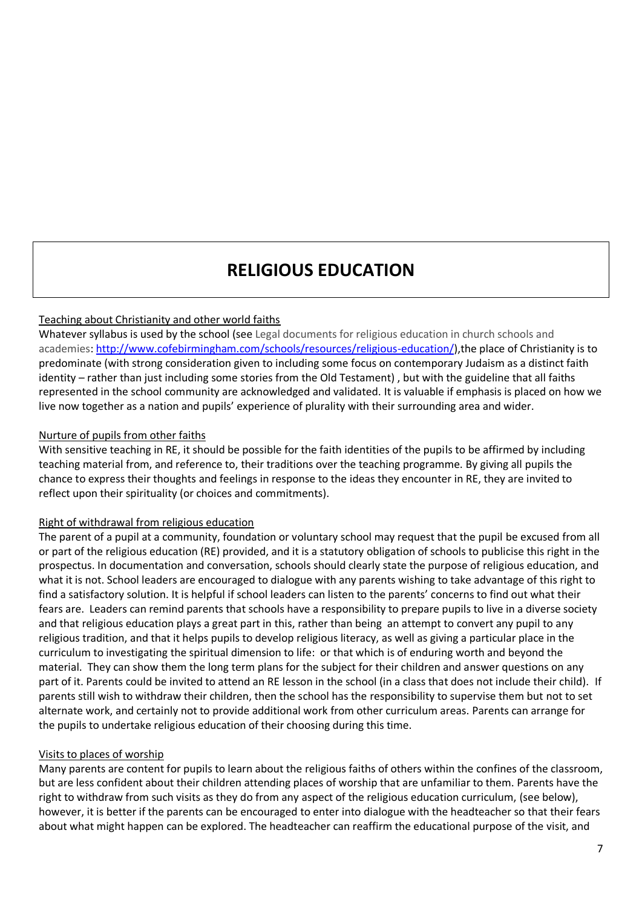## **RELIGIOUS EDUCATION**

## Teaching about Christianity and other world faiths

Whatever syllabus is used by the school (see Legal documents for religious education in church schools and academies: [http://www.cofebirmingham.com/schools/resources/religious-education/\)](http://www.cofebirmingham.com/schools/resources/religious-education/),the place of Christianity is to predominate (with strong consideration given to including some focus on contemporary Judaism as a distinct faith identity – rather than just including some stories from the Old Testament) , but with the guideline that all faiths represented in the school community are acknowledged and validated. It is valuable if emphasis is placed on how we live now together as a nation and pupils' experience of plurality with their surrounding area and wider.

## Nurture of pupils from other faiths

With sensitive teaching in RE, it should be possible for the faith identities of the pupils to be affirmed by including teaching material from, and reference to, their traditions over the teaching programme. By giving all pupils the chance to express their thoughts and feelings in response to the ideas they encounter in RE, they are invited to reflect upon their spirituality (or choices and commitments).

#### Right of withdrawal from religious education

The parent of a pupil at a community, foundation or voluntary school may request that the pupil be excused from all or part of the religious education (RE) provided, and it is a statutory obligation of schools to publicise this right in the prospectus. In documentation and conversation, schools should clearly state the purpose of religious education, and what it is not. School leaders are encouraged to dialogue with any parents wishing to take advantage of this right to find a satisfactory solution. It is helpful if school leaders can listen to the parents' concerns to find out what their fears are. Leaders can remind parents that schools have a responsibility to prepare pupils to live in a diverse society and that religious education plays a great part in this, rather than being an attempt to convert any pupil to any religious tradition, and that it helps pupils to develop religious literacy, as well as giving a particular place in the curriculum to investigating the spiritual dimension to life: or that which is of enduring worth and beyond the material. They can show them the long term plans for the subject for their children and answer questions on any part of it. Parents could be invited to attend an RE lesson in the school (in a class that does not include their child). If parents still wish to withdraw their children, then the school has the responsibility to supervise them but not to set alternate work, and certainly not to provide additional work from other curriculum areas. Parents can arrange for the pupils to undertake religious education of their choosing during this time.

#### Visits to places of worship

Many parents are content for pupils to learn about the religious faiths of others within the confines of the classroom, but are less confident about their children attending places of worship that are unfamiliar to them. Parents have the right to withdraw from such visits as they do from any aspect of the religious education curriculum, (see below), however, it is better if the parents can be encouraged to enter into dialogue with the headteacher so that their fears about what might happen can be explored. The headteacher can reaffirm the educational purpose of the visit, and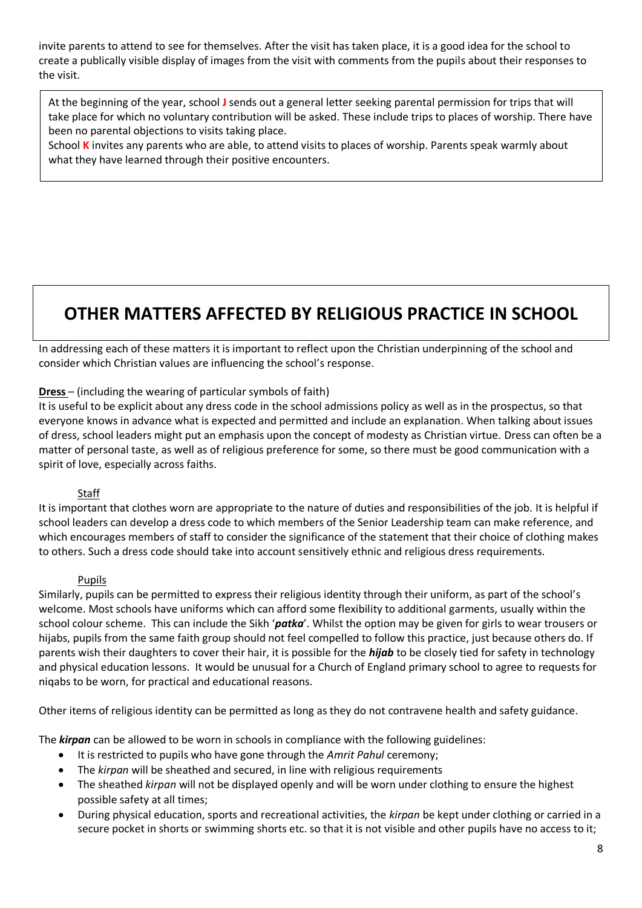invite parents to attend to see for themselves. After the visit has taken place, it is a good idea for the school to create a publically visible display of images from the visit with comments from the pupils about their responses to the visit.

At the beginning of the year, school **J** sends out a general letter seeking parental permission for trips that will take place for which no voluntary contribution will be asked. These include trips to places of worship. There have been no parental objections to visits taking place.

School **K** invites any parents who are able, to attend visits to places of worship. Parents speak warmly about what they have learned through their positive encounters.

## **OTHER MATTERS AFFECTED BY RELIGIOUS PRACTICE IN SCHOOL**

In addressing each of these matters it is important to reflect upon the Christian underpinning of the school and consider which Christian values are influencing the school's response.

## **Dress** – (including the wearing of particular symbols of faith)

It is useful to be explicit about any dress code in the school admissions policy as well as in the prospectus, so that everyone knows in advance what is expected and permitted and include an explanation. When talking about issues of dress, school leaders might put an emphasis upon the concept of modesty as Christian virtue. Dress can often be a matter of personal taste, as well as of religious preference for some, so there must be good communication with a spirit of love, especially across faiths.

## Staff

It is important that clothes worn are appropriate to the nature of duties and responsibilities of the job. It is helpful if school leaders can develop a dress code to which members of the Senior Leadership team can make reference, and which encourages members of staff to consider the significance of the statement that their choice of clothing makes to others. Such a dress code should take into account sensitively ethnic and religious dress requirements.

## Pupils

Similarly, pupils can be permitted to express their religious identity through their uniform, as part of the school's welcome. Most schools have uniforms which can afford some flexibility to additional garments, usually within the school colour scheme. This can include the Sikh '*patka*'. Whilst the option may be given for girls to wear trousers or hijabs, pupils from the same faith group should not feel compelled to follow this practice, just because others do. If parents wish their daughters to cover their hair, it is possible for the *hijab* to be closely tied for safety in technology and physical education lessons. It would be unusual for a Church of England primary school to agree to requests for niqabs to be worn, for practical and educational reasons.

Other items of religious identity can be permitted as long as they do not contravene health and safety guidance.

The *kirpan* can be allowed to be worn in schools in compliance with the following guidelines:

- It is restricted to pupils who have gone through the *Amrit Pahul* ceremony;
- The *kirpan* will be sheathed and secured, in line with religious requirements
- The sheathed *kirpan* will not be displayed openly and will be worn under clothing to ensure the highest possible safety at all times;
- During physical education, sports and recreational activities, the *kirpan* be kept under clothing or carried in a secure pocket in shorts or swimming shorts etc. so that it is not visible and other pupils have no access to it;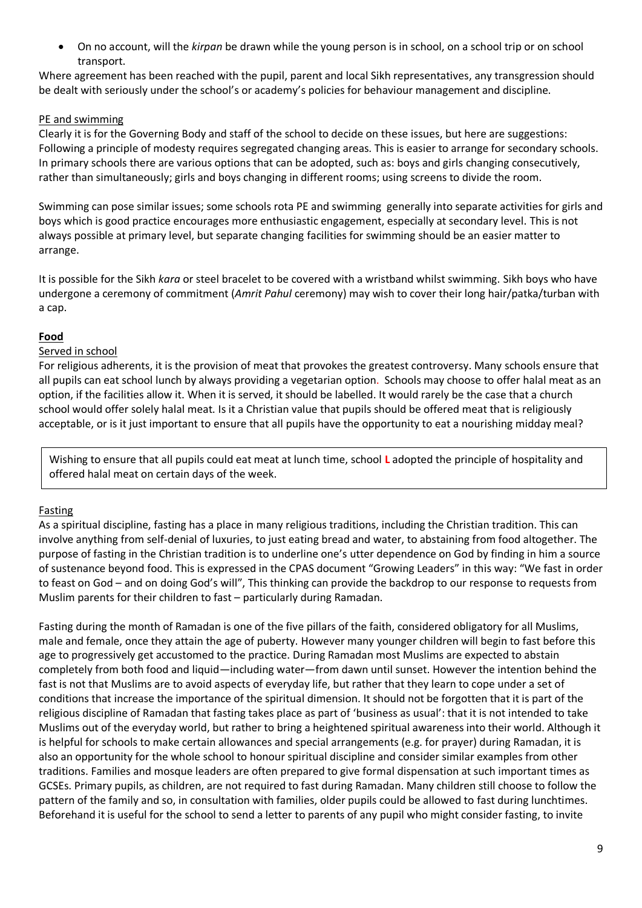• On no account, will the *kirpan* be drawn while the young person is in school, on a school trip or on school transport.

Where agreement has been reached with the pupil, parent and local Sikh representatives, any transgression should be dealt with seriously under the school's or academy's policies for behaviour management and discipline.

## PE and swimming

Clearly it is for the Governing Body and staff of the school to decide on these issues, but here are suggestions: Following a principle of modesty requires segregated changing areas. This is easier to arrange for secondary schools. In primary schools there are various options that can be adopted, such as: boys and girls changing consecutively, rather than simultaneously; girls and boys changing in different rooms; using screens to divide the room.

Swimming can pose similar issues; some schools rota PE and swimming generally into separate activities for girls and boys which is good practice encourages more enthusiastic engagement, especially at secondary level. This is not always possible at primary level, but separate changing facilities for swimming should be an easier matter to arrange.

It is possible for the Sikh *kara* or steel bracelet to be covered with a wristband whilst swimming. Sikh boys who have undergone a ceremony of commitment (*Amrit Pahul* ceremony) may wish to cover their long hair/patka/turban with a cap.

## **Food**

## Served in school

For religious adherents, it is the provision of meat that provokes the greatest controversy. Many schools ensure that all pupils can eat school lunch by always providing a vegetarian option. Schools may choose to offer halal meat as an option, if the facilities allow it. When it is served, it should be labelled. It would rarely be the case that a church school would offer solely halal meat. Is it a Christian value that pupils should be offered meat that is religiously acceptable, or is it just important to ensure that all pupils have the opportunity to eat a nourishing midday meal?

Wishing to ensure that all pupils could eat meat at lunch time, school **L** adopted the principle of hospitality and offered halal meat on certain days of the week.

## Fasting

As a spiritual discipline, fasting has a place in many religious traditions, including the Christian tradition. This can involve anything from self-denial of luxuries, to just eating bread and water, to abstaining from food altogether. The purpose of fasting in the Christian tradition is to underline one's utter dependence on God by finding in him a source of sustenance beyond food. This is expressed in the CPAS document "Growing Leaders" in this way: "We fast in order to feast on God – and on doing God's will", This thinking can provide the backdrop to our response to requests from Muslim parents for their children to fast – particularly during Ramadan.

Fasting during the month of Ramadan is one of the five pillars of the faith, considered obligatory for all Muslims, male and female, once they attain the age of puberty. However many younger children will begin to fast before this age to progressively get accustomed to the practice. During Ramadan most Muslims are expected to abstain completely from both food and liquid—including water—from dawn until sunset. However the intention behind the fast is not that Muslims are to avoid aspects of everyday life, but rather that they learn to cope under a set of conditions that increase the importance of the spiritual dimension. It should not be forgotten that it is part of the religious discipline of Ramadan that fasting takes place as part of 'business as usual': that it is not intended to take Muslims out of the everyday world, but rather to bring a heightened spiritual awareness into their world. Although it is helpful for schools to make certain allowances and special arrangements (e.g. for prayer) during Ramadan, it is also an opportunity for the whole school to honour spiritual discipline and consider similar examples from other traditions. Families and mosque leaders are often prepared to give formal dispensation at such important times as GCSEs. Primary pupils, as children, are not required to fast during Ramadan. Many children still choose to follow the pattern of the family and so, in consultation with families, older pupils could be allowed to fast during lunchtimes. Beforehand it is useful for the school to send a letter to parents of any pupil who might consider fasting, to invite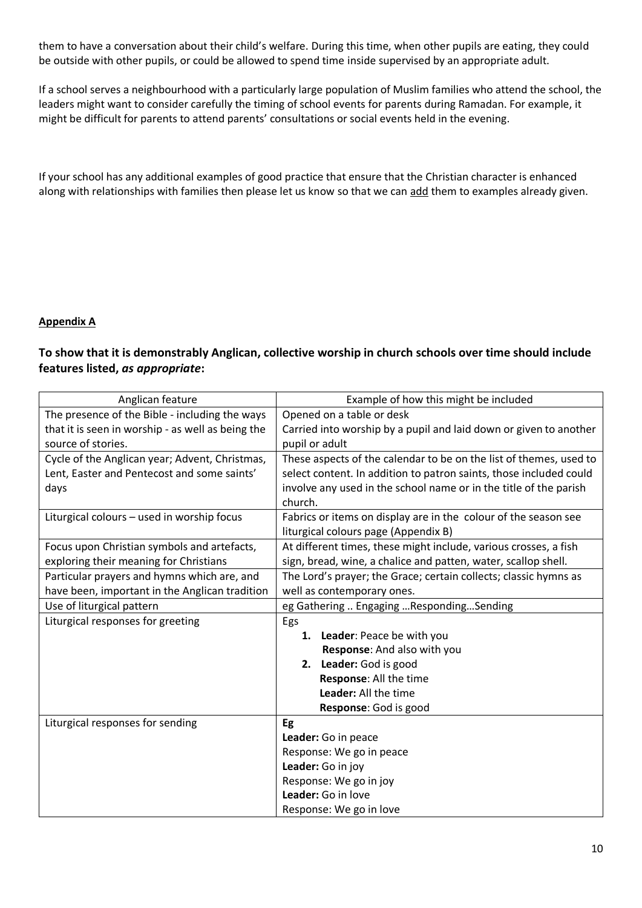them to have a conversation about their child's welfare. During this time, when other pupils are eating, they could be outside with other pupils, or could be allowed to spend time inside supervised by an appropriate adult.

If a school serves a neighbourhood with a particularly large population of Muslim families who attend the school, the leaders might want to consider carefully the timing of school events for parents during Ramadan. For example, it might be difficult for parents to attend parents' consultations or social events held in the evening.

If your school has any additional examples of good practice that ensure that the Christian character is enhanced along with relationships with families then please let us know so that we can add them to examples already given.

## **Appendix A**

## **To show that it is demonstrably Anglican, collective worship in church schools over time should include features listed,** *as appropriate***:**

| Anglican feature                                  | Example of how this might be included                              |  |
|---------------------------------------------------|--------------------------------------------------------------------|--|
| The presence of the Bible - including the ways    | Opened on a table or desk                                          |  |
| that it is seen in worship - as well as being the | Carried into worship by a pupil and laid down or given to another  |  |
| source of stories.                                | pupil or adult                                                     |  |
| Cycle of the Anglican year; Advent, Christmas,    | These aspects of the calendar to be on the list of themes, used to |  |
| Lent, Easter and Pentecost and some saints'       | select content. In addition to patron saints, those included could |  |
| days                                              | involve any used in the school name or in the title of the parish  |  |
|                                                   | church.                                                            |  |
| Liturgical colours - used in worship focus        | Fabrics or items on display are in the colour of the season see    |  |
|                                                   | liturgical colours page (Appendix B)                               |  |
| Focus upon Christian symbols and artefacts,       | At different times, these might include, various crosses, a fish   |  |
| exploring their meaning for Christians            | sign, bread, wine, a chalice and patten, water, scallop shell.     |  |
| Particular prayers and hymns which are, and       | The Lord's prayer; the Grace; certain collects; classic hymns as   |  |
| have been, important in the Anglican tradition    | well as contemporary ones.                                         |  |
| Use of liturgical pattern                         | eg Gathering  Engaging RespondingSending                           |  |
| Liturgical responses for greeting                 | Egs                                                                |  |
|                                                   | 1. Leader: Peace be with you                                       |  |
|                                                   | Response: And also with you                                        |  |
|                                                   | 2. Leader: God is good                                             |  |
|                                                   | Response: All the time                                             |  |
|                                                   | Leader: All the time                                               |  |
|                                                   | Response: God is good                                              |  |
| Liturgical responses for sending                  | Eg                                                                 |  |
|                                                   | Leader: Go in peace                                                |  |
|                                                   | Response: We go in peace                                           |  |
|                                                   | Leader: Go in joy                                                  |  |
|                                                   | Response: We go in joy                                             |  |
|                                                   | Leader: Go in love                                                 |  |
|                                                   | Response: We go in love                                            |  |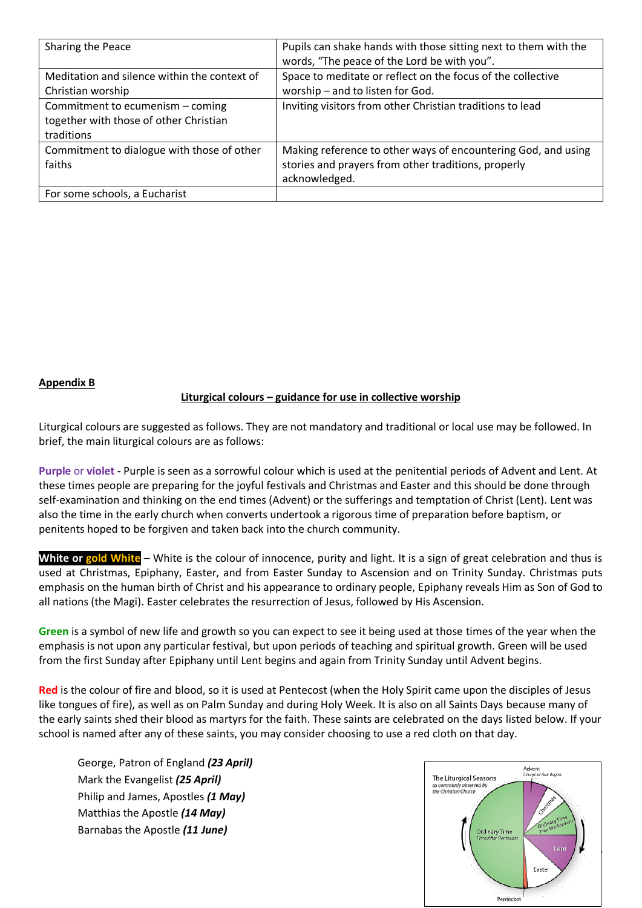| Sharing the Peace                                                                        | Pupils can shake hands with those sitting next to them with the<br>words, "The peace of the Lord be with you". |
|------------------------------------------------------------------------------------------|----------------------------------------------------------------------------------------------------------------|
| Meditation and silence within the context of                                             | Space to meditate or reflect on the focus of the collective                                                    |
| Christian worship                                                                        | worship - and to listen for God.                                                                               |
| Commitment to ecumenism - coming<br>together with those of other Christian<br>traditions | Inviting visitors from other Christian traditions to lead                                                      |
| Commitment to dialogue with those of other                                               | Making reference to other ways of encountering God, and using                                                  |
| faiths                                                                                   | stories and prayers from other traditions, properly                                                            |
|                                                                                          | acknowledged.                                                                                                  |
| For some schools, a Eucharist                                                            |                                                                                                                |

**Appendix B** 

## **Liturgical colours – guidance for use in collective worship**

Liturgical colours are suggested as follows. They are not mandatory and traditional or local use may be followed. In brief, the main liturgical colours are as follows:

**Purple** or **violet -** Purple is seen as a sorrowful colour which is used at the penitential periods of Advent and Lent. At these times people are preparing for the joyful festivals and Christmas and Easter and this should be done through self-examination and thinking on the end times (Advent) or the sufferings and temptation of Christ (Lent). Lent was also the time in the early church when converts undertook a rigorous time of preparation before baptism, or penitents hoped to be forgiven and taken back into the church community.

**White or gold White** – White is the colour of innocence, purity and light. It is a sign of great celebration and thus is used at Christmas, Epiphany, Easter, and from Easter Sunday to Ascension and on Trinity Sunday. Christmas puts emphasis on the human birth of Christ and his appearance to ordinary people, Epiphany reveals Him as Son of God to all nations (the Magi). Easter celebrates the resurrection of Jesus, followed by His Ascension.

**Green** is a symbol of new life and growth so you can expect to see it being used at those times of the year when the emphasis is not upon any particular festival, but upon periods of teaching and spiritual growth. Green will be used from the first Sunday after Epiphany until Lent begins and again from Trinity Sunday until Advent begins.

**Red** is the colour of fire and blood, so it is used at Pentecost (when the Holy Spirit came upon the disciples of Jesus like tongues of fire), as well as on Palm Sunday and during Holy Week. It is also on all Saints Days because many of the early saints shed their blood as martyrs for the faith. These saints are celebrated on the days listed below. If your school is named after any of these saints, you may consider choosing to use a red cloth on that day.

George, Patron of England *(23 April)* Mark the Evangelist *(25 April)* Philip and James, Apostles *(1 May)* Matthias the Apostle *(14 May)* Barnabas the Apostle *(11 June)*

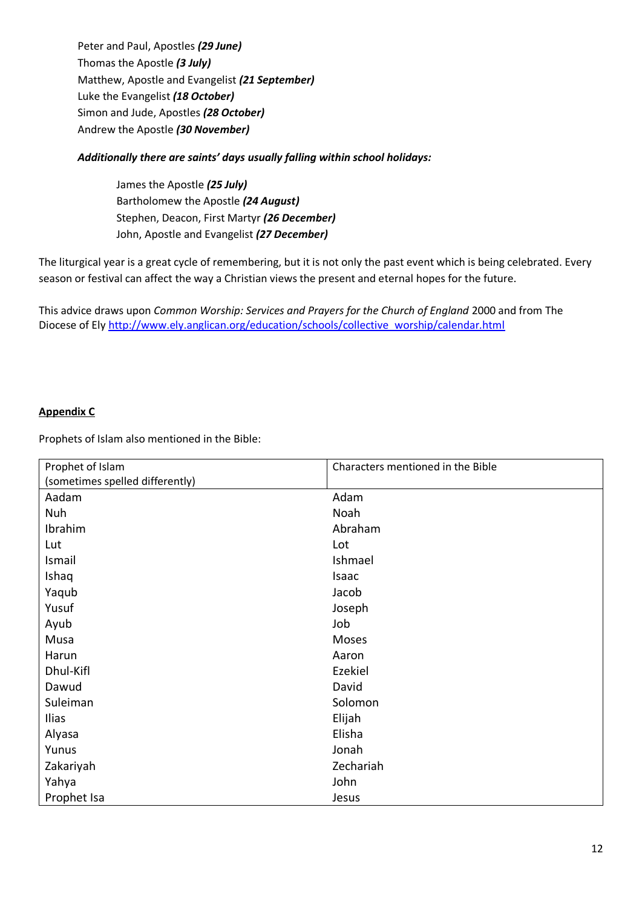Peter and Paul, Apostles *(29 June)* Thomas the Apostle *(3 July)* Matthew, Apostle and Evangelist *(21 September)* Luke the Evangelist *(18 October)* Simon and Jude, Apostles *(28 October)* Andrew the Apostle *(30 November)*

## *Additionally there are saints' days usually falling within school holidays:*

James the Apostle *(25 July)* Bartholomew the Apostle *(24 August)* Stephen, Deacon, First Martyr *(26 December)* John, Apostle and Evangelist *(27 December)*

The liturgical year is a great cycle of remembering, but it is not only the past event which is being celebrated. Every season or festival can affect the way a Christian views the present and eternal hopes for the future.

This advice draws upon *Common Worship: Services and Prayers for the Church of England* 2000 and from The Diocese of El[y http://www.ely.anglican.org/education/schools/collective\\_worship/calendar.html](http://www.ely.anglican.org/education/schools/collective_worship/calendar.html)

#### **Appendix C**

Prophets of Islam also mentioned in the Bible:

| Prophet of Islam                | Characters mentioned in the Bible |
|---------------------------------|-----------------------------------|
| (sometimes spelled differently) |                                   |
| Aadam                           | Adam                              |
| Nuh                             | Noah                              |
| Ibrahim                         | Abraham                           |
| Lut                             | Lot                               |
| Ismail                          | Ishmael                           |
| Ishaq                           | Isaac                             |
| Yaqub                           | Jacob                             |
| Yusuf                           | Joseph                            |
| Ayub                            | Job                               |
| Musa                            | Moses                             |
| Harun                           | Aaron                             |
| Dhul-Kifl                       | Ezekiel                           |
| Dawud                           | David                             |
| Suleiman                        | Solomon                           |
| <b>Ilias</b>                    | Elijah                            |
| Alyasa                          | Elisha                            |
| Yunus                           | Jonah                             |
| Zakariyah                       | Zechariah                         |
| Yahya                           | John                              |
| Prophet Isa                     | Jesus                             |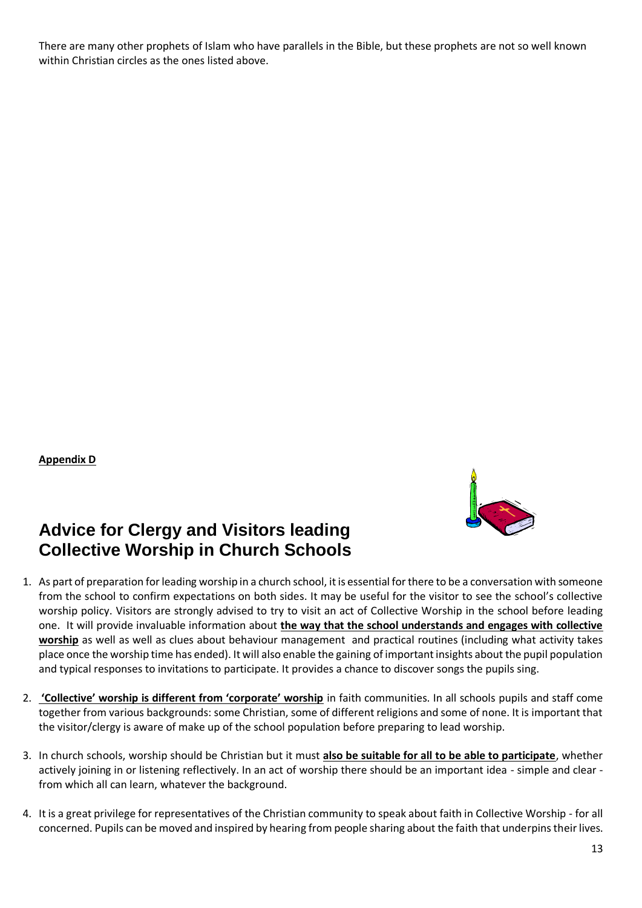There are many other prophets of Islam who have parallels in the Bible, but these prophets are not so well known within Christian circles as the ones listed above.

**Appendix D**



## **Advice for Clergy and Visitors leading Collective Worship in Church Schools**

- 1. As part of preparation for leading worship in a church school, it is essential for there to be a conversation with someone from the school to confirm expectations on both sides. It may be useful for the visitor to see the school's collective worship policy. Visitors are strongly advised to try to visit an act of Collective Worship in the school before leading one. It will provide invaluable information about **the way that the school understands and engages with collective worship** as well as well as clues about behaviour management and practical routines (including what activity takes place once the worship time has ended). It will also enable the gaining of important insights about the pupil population and typical responses to invitations to participate. It provides a chance to discover songs the pupils sing.
- 2. **'Collective' worship is different from 'corporate' worship** in faith communities. In all schools pupils and staff come together from various backgrounds: some Christian, some of different religions and some of none. It is important that the visitor/clergy is aware of make up of the school population before preparing to lead worship.
- 3. In church schools, worship should be Christian but it must **also be suitable for all to be able to participate**, whether actively joining in or listening reflectively. In an act of worship there should be an important idea - simple and clear from which all can learn, whatever the background.
- 4. It is a great privilege for representatives of the Christian community to speak about faith in Collective Worship for all concerned. Pupils can be moved and inspired by hearing from people sharing about the faith that underpins their lives.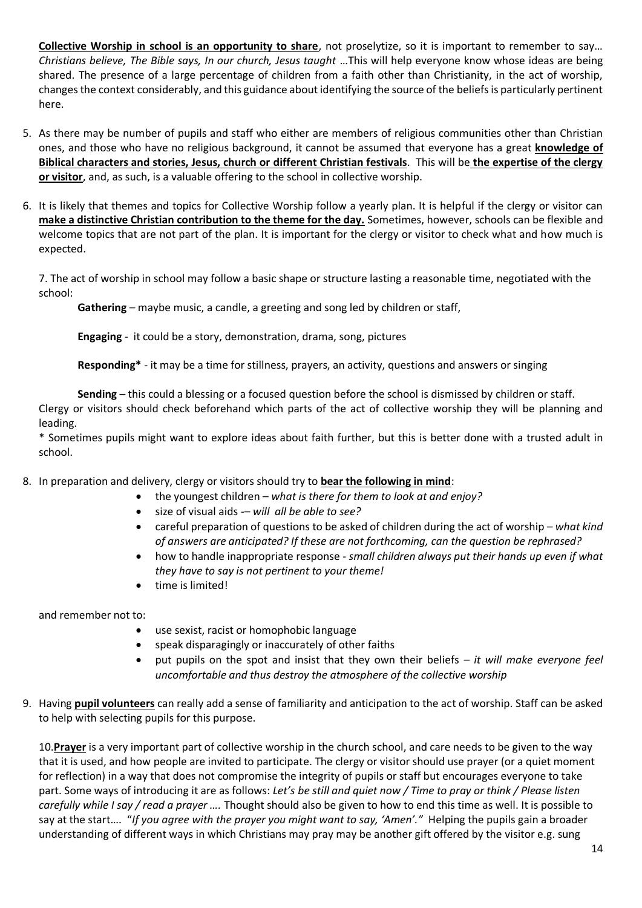**Collective Worship in school is an opportunity to share**, not proselytize, so it is important to remember to say… *Christians believe, The Bible says, In our church, Jesus taught* …This will help everyone know whose ideas are being shared. The presence of a large percentage of children from a faith other than Christianity, in the act of worship, changes the context considerably, and this guidance about identifying the source of the beliefs is particularly pertinent here.

- 5. As there may be number of pupils and staff who either are members of religious communities other than Christian ones, and those who have no religious background, it cannot be assumed that everyone has a great **knowledge of Biblical characters and stories, Jesus, church or different Christian festivals**. This will be **the expertise of the clergy or visitor**, and, as such, is a valuable offering to the school in collective worship.
- 6. It is likely that themes and topics for Collective Worship follow a yearly plan. It is helpful if the clergy or visitor can **make a distinctive Christian contribution to the theme for the day.** Sometimes, however, schools can be flexible and welcome topics that are not part of the plan. It is important for the clergy or visitor to check what and how much is expected.

7. The act of worship in school may follow a basic shape or structure lasting a reasonable time, negotiated with the school:

**Gathering** – maybe music, a candle, a greeting and song led by children or staff,

**Engaging** - it could be a story, demonstration, drama, song, pictures

**Responding\*** - it may be a time for stillness, prayers, an activity, questions and answers or singing

**Sending** – this could a blessing or a focused question before the school is dismissed by children or staff. Clergy or visitors should check beforehand which parts of the act of collective worship they will be planning and leading.

\* Sometimes pupils might want to explore ideas about faith further, but this is better done with a trusted adult in school.

- 8. In preparation and delivery, clergy or visitors should try to **bear the following in mind**:
	- the youngest children *what is there for them to look at and enjoy?*
	- size of visual aids -– *will all be able to see?*
	- careful preparation of questions to be asked of children during the act of worship *what kind of answers are anticipated? If these are not forthcoming, can the question be rephrased?*
	- how to handle inappropriate response *small children always put their hands up even if what they have to say is not pertinent to your theme!*
	- time is limited!

and remember not to:

- use sexist, racist or homophobic language
- speak disparagingly or inaccurately of other faiths
- put pupils on the spot and insist that they own their beliefs *it will make everyone feel uncomfortable and thus destroy the atmosphere of the collective worship*
- 9. Having **pupil volunteers** can really add a sense of familiarity and anticipation to the act of worship. Staff can be asked to help with selecting pupils for this purpose.

10.**Prayer** is a very important part of collective worship in the church school, and care needs to be given to the way that it is used, and how people are invited to participate. The clergy or visitor should use prayer (or a quiet moment for reflection) in a way that does not compromise the integrity of pupils or staff but encourages everyone to take part. Some ways of introducing it are as follows: *Let's be still and quiet now / Time to pray or think / Please listen carefully while I say / read a prayer ….* Thought should also be given to how to end this time as well. It is possible to say at the start…. "*If you agree with the prayer you might want to say, 'Amen'."* Helping the pupils gain a broader understanding of different ways in which Christians may pray may be another gift offered by the visitor e.g. sung